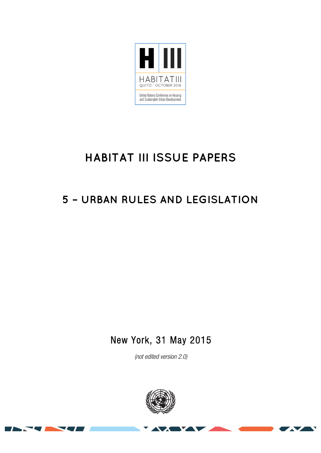

# **HABITAT III ISSUE PAPERS**

## **5 – URBAN RULES AND LEGISLATION**

New York, 31 May 2015

*(not edited version* 2.0*)* 



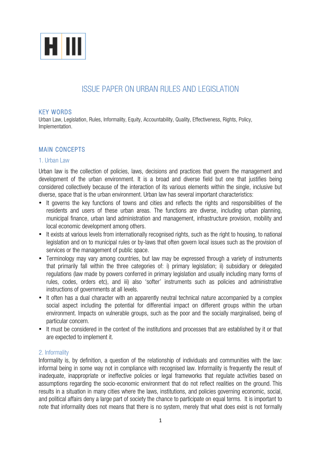

### ISSUE PAPER ON URBAN RULES AND LEGISLATION

#### KEY WORDS

Urban Law, Legislation, Rules, Informality, Equity, Accountability, Quality, Effectiveness, Rights, Policy, Implementation.

#### MAIN CONCEPTS

#### 1. Urban Law

Urban law is the collection of policies, laws, decisions and practices that govern the management and development of the urban environment. It is a broad and diverse field but one that justifies being considered collectively because of the interaction of its various elements within the single, inclusive but diverse, space that is the urban environment. Urban law has several important characteristics:

- It governs the key functions of towns and cities and reflects the rights and responsibilities of the residents and users of these urban areas. The functions are diverse, including urban planning, municipal finance, urban land administration and management, infrastructure provision, mobility and local economic development among others.
- It exists at various levels from internationally recognised rights, such as the right to housing, to national legislation and on to municipal rules or by-laws that often govern local issues such as the provision of services or the management of public space.
- Terminology may vary among countries, but law may be expressed through a variety of instruments that primarily fall within the three categories of: i) primary legislation; ii) subsidiary or delegated regulations (law made by powers conferred in primary legislation and usually including many forms of rules, codes, orders etc), and iii) also 'softer' instruments such as policies and administrative instructions of governments at all levels.
- It often has a dual character with an apparently neutral technical nature accompanied by a complex social aspect including the potential for differential impact on different groups within the urban environment. Impacts on vulnerable groups, such as the poor and the socially marginalised, being of particular concern.
- It must be considered in the context of the institutions and processes that are established by it or that are expected to implement it.

#### 2. Informality

Informality is, by definition, a question of the relationship of individuals and communities with the law: informal being in some way not in compliance with recognised law. Informality is frequently the result of inadequate, inappropriate or ineffective policies or legal frameworks that regulate activities based on assumptions regarding the socio-economic environment that do not reflect realities on the ground. This results in a situation in many cities where the laws, institutions, and policies governing economic, social, and political affairs deny a large part of society the chance to participate on equal terms. It is important to note that informality does not means that there is no system, merely that what does exist is not formally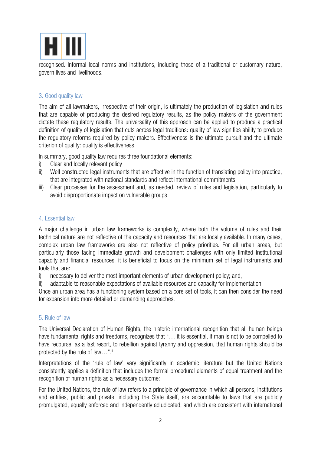

recognised. Informal local norms and institutions, including those of a traditional or customary nature, govern lives and livelihoods.

#### 3. Good quality law

The aim of all lawmakers, irrespective of their origin, is ultimately the production of legislation and rules that are capable of producing the desired regulatory results, as the policy makers of the government dictate these regulatory results. The universality of this approach can be applied to produce a practical definition of quality of legislation that cuts across legal traditions: quality of law signifies ability to produce the regulatory reforms required by policy makers. Effectiveness is the ultimate pursuit and the ultimate criterion of quality: quality is effectiveness.<sup>i</sup>

In summary, good quality law requires three foundational elements:

- i) Clear and locally relevant policy
- ii) Well constructed legal instruments that are effective in the function of translating policy into practice, that are integrated with national standards and reflect international commitments
- iii) Clear processes for the assessment and, as needed, review of rules and legislation, particularly to avoid disproportionate impact on vulnerable groups

#### 4. Essential law

A major challenge in urban law frameworks is complexity, where both the volume of rules and their technical nature are not reflective of the capacity and resources that are locally available. In many cases, complex urban law frameworks are also not reflective of policy priorities. For all urban areas, but particularly those facing immediate growth and development challenges with only limited institutional capacity and financial resources, it is beneficial to focus on the minimum set of legal instruments and tools that are:

i) necessary to deliver the most important elements of urban development policy; and,

ii) adaptable to reasonable expectations of available resources and capacity for implementation.

Once an urban area has a functioning system based on a core set of tools, it can then consider the need for expansion into more detailed or demanding approaches.

#### 5. Rule of law

The Universal Declaration of Human Rights, the historic international recognition that all human beings have fundamental rights and freedoms, recognizes that "... it is essential, if man is not to be compelled to have recourse, as a last resort, to rebellion against tyranny and oppression, that human rights should be protected by the rule of law...".<sup>"</sup>

Interpretations of the 'rule of law' vary significantly in academic literature but the United Nations consistently applies a definition that includes the formal procedural elements of equal treatment and the recognition of human rights as a necessary outcome:

For the United Nations, the rule of law refers to a principle of governance in which all persons, institutions and entities, public and private, including the State itself, are accountable to laws that are publicly promulgated, equally enforced and independently adjudicated, and which are consistent with international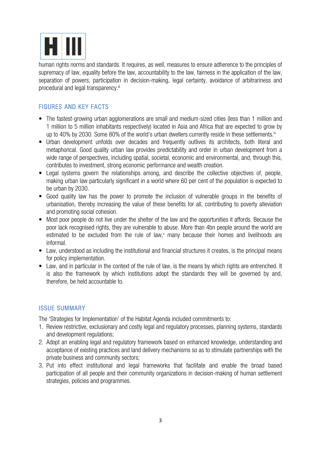

human rights norms and standards. It requires, as well, measures to ensure adherence to the principles of supremacy of law, equality before the law, accountability to the law, fairness in the application of the law, separation of powers, participation in decision-making, legal certainty, avoidance of arbitrariness and procedural and legal transparency.<sup>iii</sup>

#### FIGURES AND KEY FACTS

- The fastest-growing urban agglomerations are small and medium-sized cities (less than 1 million and 1 million to 5 million inhabitants respectively) located in Asia and Africa that are expected to grow by up to 40% by 2030. Some 80% of the world's urban dwellers currently reside in these settlements.<sup>iv</sup>
- Urban development unfolds over decades and frequently outlives its architects, both literal and metaphorical. Good quality urban law provides predictability and order in urban development from a wide range of perspectives, including spatial, societal, economic and environmental, and, through this, contributes to investment, strong economic performance and wealth creation.
- Legal systems govern the relationships among, and describe the collective objectives of, people, making urban law particularly significant in a world where 60 per cent of the population is expected to be urban by 2030.
- Good quality law has the power to promote the inclusion of vulnerable groups in the benefits of urbanisation, thereby increasing the value of these benefits for all, contributing to poverty alleviation and promoting social cohesion.
- Most poor people do not live under the shelter of the law and the opportunities it affords. Because the poor lack recognised rights, they are vulnerable to abuse. More than 4bn people around the world are estimated to be excluded from the rule of law, $v$  many because their homes and livelihoods are informal.
- Law, understood as including the institutional and financial structures it creates, is the principal means for policy implementation.
- Law, and in particular in the context of the rule of law, is the means by which rights are entrenched. It is also the framework by which institutions adopt the standards they will be governed by and, therefore, be held accountable to.

#### ISSUE SUMMARY

The 'Strategies for Implementation' of the Habitat Agenda included commitments to:

- 1. Review restrictive, exclusionary and costly legal and regulatory processes, planning systems, standards and development regulations;
- 2. Adopt an enabling legal and regulatory framework based on enhanced knowledge, understanding and acceptance of existing practices and land delivery mechanisms so as to stimulate partnerships with the private business and community sectors;
- 3. Put into effect institutional and legal frameworks that facilitate and enable the broad based participation of all people and their community organizations in decision-making of human settlement strategies, policies and programmes.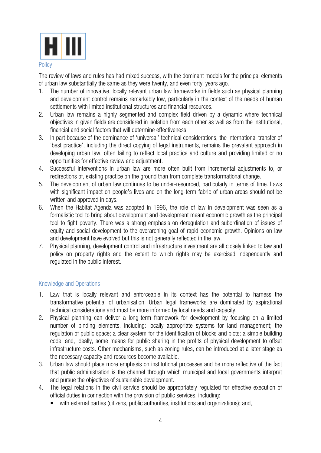

#### **Policy**

The review of laws and rules has had mixed success, with the dominant models for the principal elements of urban law substantially the same as they were twenty, and even forty, years ago.

- 1. The number of innovative, locally relevant urban law frameworks in fields such as physical planning and development control remains remarkably low, particularly in the context of the needs of human settlements with limited institutional structures and financial resources.
- 2. Urban law remains a highly segmented and complex field driven by a dynamic where technical objectives in given fields are considered in isolation from each other as well as from the institutional, financial and social factors that will determine effectiveness.
- 3. In part because of the dominance of 'universal' technical considerations, the international transfer of 'best practice', including the direct copying of legal instruments, remains the prevalent approach in developing urban law, often failing to reflect local practice and culture and providing limited or no opportunities for effective review and adjustment.
- 4. Successful interventions in urban law are more often built from incremental adjustments to, or redirections of, existing practice on the ground than from complete transformational change.
- 5. The development of urban law continues to be under-resourced, particularly in terms of time. Laws with significant impact on people's lives and on the long-term fabric of urban areas should not be written and approved in days.
- 6. When the Habitat Agenda was adopted in 1996, the role of law in development was seen as a formalistic tool to bring about development and development meant economic growth as the principal tool to fight poverty. There was a strong emphasis on deregulation and subordination of issues of equity and social development to the overarching goal of rapid economic growth. Opinions on law and development have evolved but this is not generally reflected in the law.
- 7. Physical planning, development control and infrastructure investment are all closely linked to law and policy on property rights and the extent to which rights may be exercised independently and regulated in the public interest.

#### Knowledge and Operations

- 1. Law that is locally relevant and enforceable in its context has the potential to harness the transformative potential of urbanisation. Urban legal frameworks are dominated by aspirational technical considerations and must be more informed by local needs and capacity.
- 2. Physical planning can deliver a long-term framework for development by focusing on a limited number of binding elements, including: locally appropriate systems for land management; the regulation of public space; a clear system for the identification of blocks and plots; a simple building code; and, ideally, some means for public sharing in the profits of physical development to offset infrastructure costs. Other mechanisms, such as zoning rules, can be introduced at a later stage as the necessary capacity and resources become available.
- 3. Urban law should place more emphasis on institutional processes and be more reflective of the fact that public administration is the channel through which municipal and local governments interpret and pursue the objectives of sustainable development.
- 4. The legal relations in the civil service should be appropriately regulated for effective execution of official duties in connection with the provision of public services, including:
	- with external parties (citizens, public authorities, institutions and organizations); and,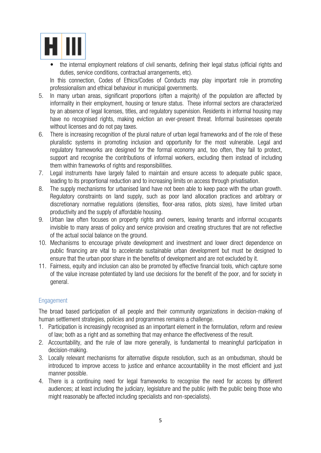

• the internal employment relations of civil servants, defining their legal status (official rights and duties, service conditions, contractual arrangements, etc).

In this connection, Codes of Ethics/Codes of Conducts may play important role in promoting professionalism and ethical behaviour in municipal governments.

- 5. In many urban areas, significant proportions (often a majority) of the population are affected by informality in their employment, housing or tenure status. These informal sectors are characterized by an absence of legal licenses, titles, and regulatory supervision. Residents in informal housing may have no recognised rights, making eviction an ever-present threat. Informal businesses operate without licenses and do not pay taxes.
- 6. There is increasing recognition of the plural nature of urban legal frameworks and of the role of these pluralistic systems in promoting inclusion and opportunity for the most vulnerable. Legal and regulatory frameworks are designed for the formal economy and, too often, they fail to protect, support and recognise the contributions of informal workers, excluding them instead of including them within frameworks of rights and responsibilities.
- 7. Legal instruments have largely failed to maintain and ensure access to adequate public space, leading to its proportional reduction and to increasing limits on access through privatisation.
- 8. The supply mechanisms for urbanised land have not been able to keep pace with the urban growth. Regulatory constraints on land supply, such as poor land allocation practices and arbitrary or discretionary normative regulations (densities, floor-area ratios, plots sizes), have limited urban productivity and the supply of affordable housing.
- 9. Urban law often focuses on property rights and owners, leaving tenants and informal occupants invisible to many areas of policy and service provision and creating structures that are not reflective of the actual social balance on the ground.
- 10. Mechanisms to encourage private development and investment and lower direct dependence on public financing are vital to accelerate sustainable urban development but must be designed to ensure that the urban poor share in the benefits of development and are not excluded by it.
- 11. Fairness, equity and inclusion can also be promoted by effective financial tools, which capture some of the value increase potentiated by land use decisions for the benefit of the poor, and for society in general.

#### Engagement

The broad based participation of all people and their community organizations in decision-making of human settlement strategies, policies and programmes remains a challenge.

- 1. Participation is increasingly recognised as an important element in the formulation, reform and review of law; both as a right and as something that may enhance the effectiveness of the result.
- 2. Accountability, and the rule of law more generally, is fundamental to meaningful participation in decision-making.
- 3. Locally relevant mechanisms for alternative dispute resolution, such as an ombudsman, should be introduced to improve access to justice and enhance accountability in the most efficient and just manner possible.
- 4. There is a continuing need for legal frameworks to recognise the need for access by different audiences; at least including the judiciary, legislature and the public (with the public being those who might reasonably be affected including specialists and non-specialists).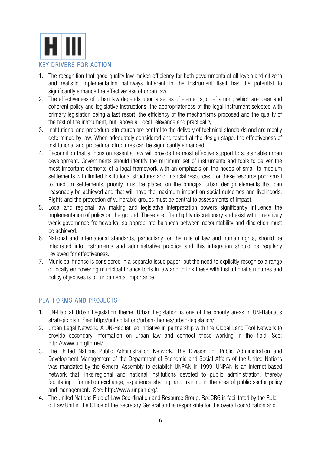

- 1. The recognition that good quality law makes efficiency for both governments at all levels and citizens and realistic implementation pathways inherent in the instrument itself has the potential to significantly enhance the effectiveness of urban law.
- 2. The effectiveness of urban law depends upon a series of elements, chief among which are clear and coherent policy and legislative instructions, the appropriateness of the legal instrument selected with primary legislation being a last resort, the efficiency of the mechanisms proposed and the quality of the text of the instrument, but, above all local relevance and practicality.
- 3. Institutional and procedural structures are central to the delivery of technical standards and are mostly determined by law. When adequately considered and tested at the design stage, the effectiveness of institutional and procedural structures can be significantly enhanced.
- 4. Recognition that a focus on essential law will provide the most effective support to sustainable urban development. Governments should identify the minimum set of instruments and tools to deliver the most important elements of a legal framework with an emphasis on the needs of small to medium settlements with limited institutional structures and financial resources. For these resource poor small to medium settlements, priority must be placed on the principal urban design elements that can reasonably be achieved and that will have the maximum impact on social outcomes and livelihoods. Rights and the protection of vulnerable groups must be central to assessments of impact.
- 5. Local and regional law making and legislative interpretation powers significantly influence the implementation of policy on the ground. These are often highly discretionary and exist within relatively weak governance frameworks, so appropriate balances between accountability and discretion must be achieved.
- 6. National and international standards, particularly for the rule of law and human rights, should be integrated into instruments and administrative practice and this integration should be regularly reviewed for effectiveness.
- 7. Municipal finance is considered in a separate issue paper, but the need to explicitly recognise a range of locally empowering municipal finance tools in law and to link these with institutional structures and policy objectives is of fundamental importance.

#### PLATFORMS AND PROJECTS

- 1. UN-Habitat Urban Legislation theme. Urban Legislation is one of the priority areas in UN-Habitat's strategic plan. See: http://unhabitat.org/urban-themes/urban-legislation/.
- 2. Urban Legal Network. A UN-Habitat led initiative in partnership with the Global Land Tool Network to provide secondary information on urban law and connect those working in the field. See: http://www.uln.gltn.net/.
- 3. The United Nations Public Administration Network. The Division for Public Administration and Development Management of the Department of Economic and Social Affairs of the United Nations was mandated by the General Assembly to establish UNPAN in 1999. UNPAN is an internet-based network that links regional and national institutions devoted to public administration, thereby facilitating information exchange, experience sharing, and training in the area of public sector policy and management. See: http://www.unpan.org/.
- 4. The United Nations Rule of Law Coordination and Resource Group. RoLCRG is facilitated by the Rule of Law Unit in the Office of the Secretary General and is responsible for the overall coordination and